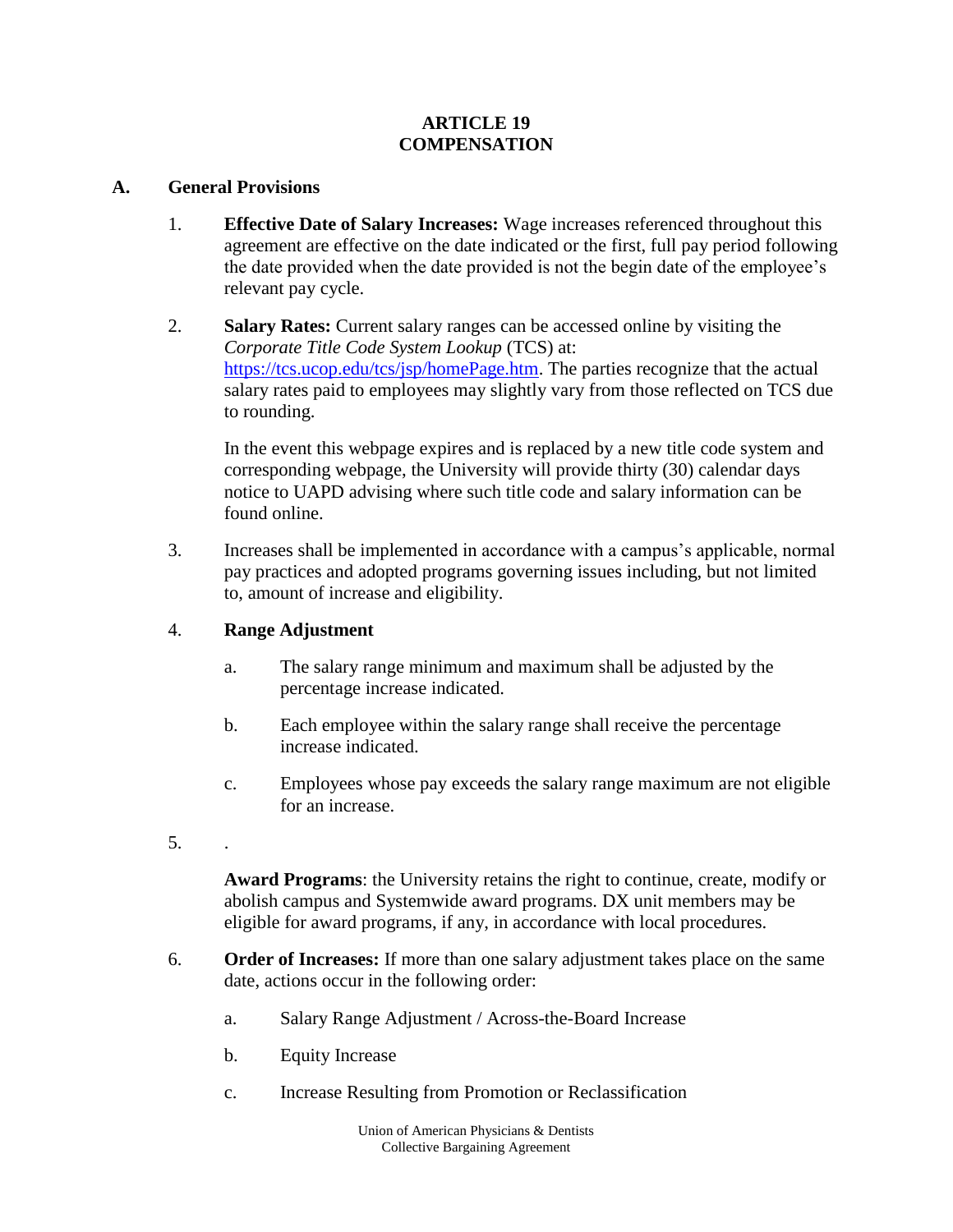### **ARTICLE 19 COMPENSATION**

### **A. General Provisions**

- 1. **Effective Date of Salary Increases:** Wage increases referenced throughout this agreement are effective on the date indicated or the first, full pay period following the date provided when the date provided is not the begin date of the employee's relevant pay cycle.
- 2. **Salary Rates:** Current salary ranges can be accessed online by visiting the *Corporate Title Code System Lookup* (TCS) at: [https://tcs.ucop.edu/tcs/jsp/homePage.htm.](https://tcs.ucop.edu/tcs/jsp/homePage.htm) The parties recognize that the actual salary rates paid to employees may slightly vary from those reflected on TCS due to rounding.

In the event this webpage expires and is replaced by a new title code system and corresponding webpage, the University will provide thirty (30) calendar days notice to UAPD advising where such title code and salary information can be found online.

3. Increases shall be implemented in accordance with a campus's applicable, normal pay practices and adopted programs governing issues including, but not limited to, amount of increase and eligibility.

## 4. **Range Adjustment**

- a. The salary range minimum and maximum shall be adjusted by the percentage increase indicated.
- b. Each employee within the salary range shall receive the percentage increase indicated.
- c. Employees whose pay exceeds the salary range maximum are not eligible for an increase.
- 5. .

**Award Programs**: the University retains the right to continue, create, modify or abolish campus and Systemwide award programs. DX unit members may be eligible for award programs, if any, in accordance with local procedures.

- 6. **Order of Increases:** If more than one salary adjustment takes place on the same date, actions occur in the following order:
	- a. Salary Range Adjustment / Across-the-Board Increase
	- b. Equity Increase
	- c. Increase Resulting from Promotion or Reclassification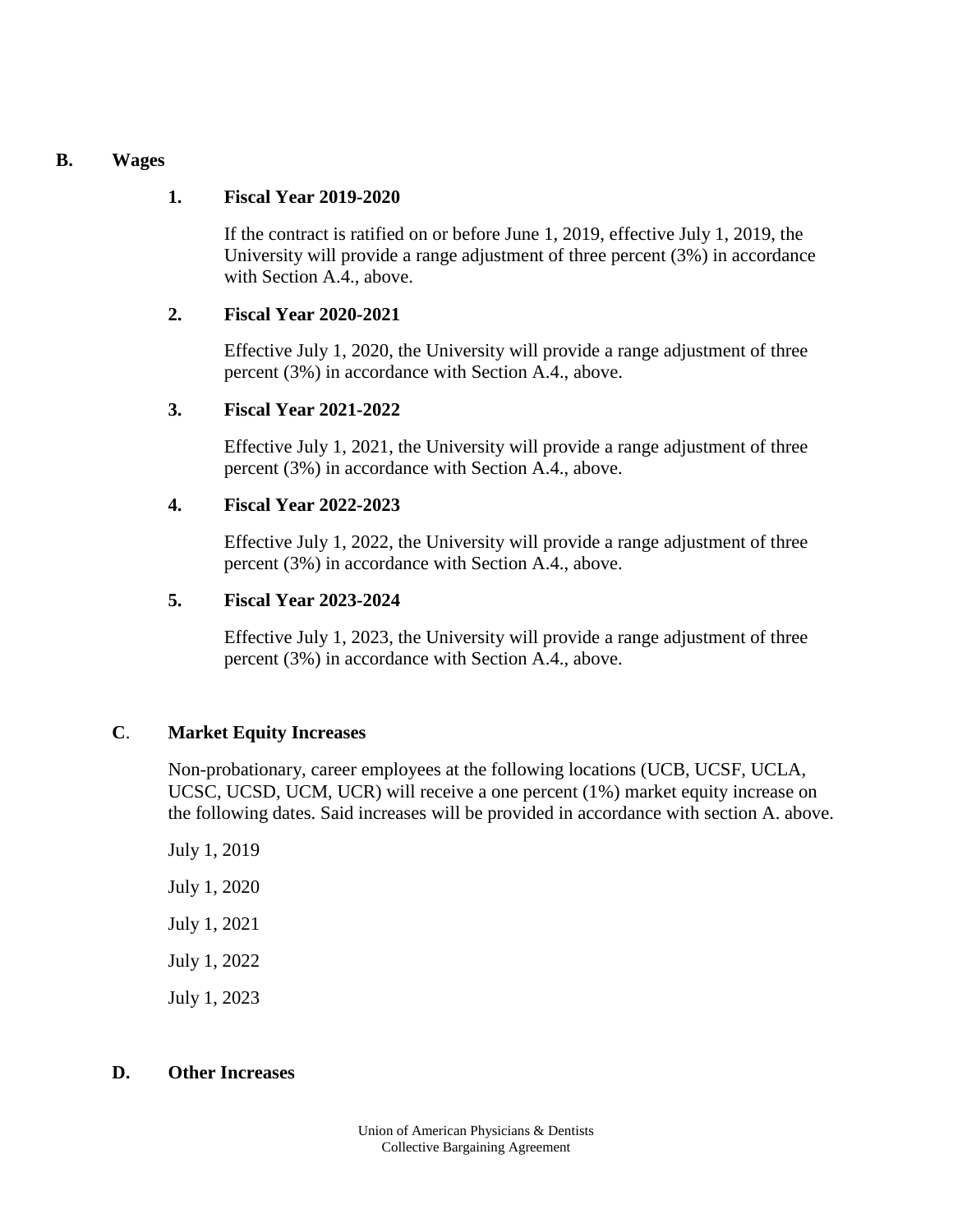#### **B. Wages**

## **1. Fiscal Year 2019-2020**

If the contract is ratified on or before June 1, 2019, effective July 1, 2019, the University will provide a range adjustment of three percent (3%) in accordance with Section A.4., above.

## **2. Fiscal Year 2020-2021**

Effective July 1, 2020, the University will provide a range adjustment of three percent (3%) in accordance with Section A.4., above.

## **3. Fiscal Year 2021-2022**

Effective July 1, 2021, the University will provide a range adjustment of three percent (3%) in accordance with Section A.4., above.

## **4. Fiscal Year 2022-2023**

Effective July 1, 2022, the University will provide a range adjustment of three percent (3%) in accordance with Section A.4., above.

## **5. Fiscal Year 2023-2024**

Effective July 1, 2023, the University will provide a range adjustment of three percent (3%) in accordance with Section A.4., above.

## **C**. **Market Equity Increases**

Non-probationary, career employees at the following locations (UCB, UCSF, UCLA, UCSC, UCSD, UCM, UCR) will receive a one percent (1%) market equity increase on the following dates. Said increases will be provided in accordance with section A. above.

July 1, 2019 July 1, 2020 July 1, 2021 July 1, 2022 July 1, 2023

# **D. Other Increases**